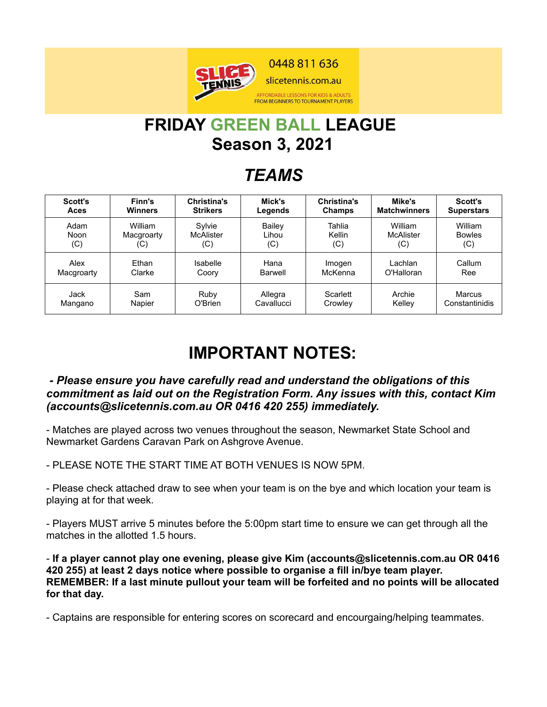

# **FRIDAY GREEN BALL LEAGUE Season 3, 2021**

### *TEAMS*

| <b>Scott's</b> | Finn's         | <b>Christina's</b> | Mick's     | <b>Christina's</b> | Mike's              | <b>Scott's</b>    |
|----------------|----------------|--------------------|------------|--------------------|---------------------|-------------------|
| Aces           | <b>Winners</b> | <b>Strikers</b>    | Legends    | Champs             | <b>Matchwinners</b> | <b>Superstars</b> |
| Adam           | William        | Sylvie             | Bailey     | Tahlia             | William             | William           |
| Noon           | Macgroarty     | McAlister          | Lihou      | Kellin             | <b>McAlister</b>    | <b>Bowles</b>     |
| (C)            | (C)            | (C)                | (C)        | (C)                | (C)                 | (C)               |
| Alex           | Ethan          | Isabelle           | Hana       | Imogen             | Lachlan             | Callum            |
| Macgroarty     | Clarke         | Coory              | Barwell    | McKenna            | O'Halloran          | Ree               |
| Jack           | Sam            | Ruby               | Allegra    | Scarlett           | Archie              | Marcus            |
| Mangano        | Napier         | O'Brien            | Cavallucci | Crowley            | Kelley              | Constantinidis    |

## **IMPORTANT NOTES:**

#### *- Please ensure you have carefully read and understand the obligations of this commitment as laid out on the Registration Form. Any issues with this, contact Kim (accounts@slicetennis.com.au OR 0416 420 255) immediately.*

- Matches are played across two venues throughout the season, Newmarket State School and Newmarket Gardens Caravan Park on Ashgrove Avenue.

- PLEASE NOTE THE START TIME AT BOTH VENUES IS NOW 5PM.

- Please check attached draw to see when your team is on the bye and which location your team is playing at for that week.

- Players MUST arrive 5 minutes before the 5:00pm start time to ensure we can get through all the matches in the allotted 1.5 hours.

- **If a player cannot play one evening, please give Kim (accounts@slicetennis.com.au OR 0416 420 255) at least 2 days notice where possible to organise a fill in/bye team player. REMEMBER: If a last minute pullout your team will be forfeited and no points will be allocated for that day.**

- Captains are responsible for entering scores on scorecard and encourgaing/helping teammates.